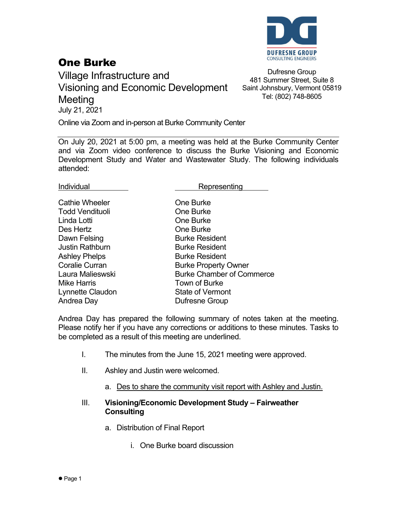

## One Burke

Village Infrastructure and Visioning and Economic Development **Meeting** July 21, 2021

Dufresne Group 481 Summer Street, Suite 8 Saint Johnsbury, Vermont 05819 Tel: (802) 748-8605

Online via Zoom and in-person at Burke Community Center

On July 20, 2021 at 5:00 pm, a meeting was held at the Burke Community Center and via Zoom video conference to discuss the Burke Visioning and Economic Development Study and Water and Wastewater Study. The following individuals attended:

Individual **Representing** 

| <b>Cathie Wheeler</b>  | <b>One Burke</b>                 |
|------------------------|----------------------------------|
| <b>Todd Vendituoli</b> | <b>One Burke</b>                 |
| Linda Lotti            | <b>One Burke</b>                 |
| Des Hertz              | <b>One Burke</b>                 |
| Dawn Felsing           | <b>Burke Resident</b>            |
| <b>Justin Rathburn</b> | <b>Burke Resident</b>            |
| <b>Ashley Phelps</b>   | <b>Burke Resident</b>            |
| <b>Coralie Curran</b>  | <b>Burke Property Owner</b>      |
| Laura Malieswski       | <b>Burke Chamber of Commerce</b> |
| <b>Mike Harris</b>     | Town of Burke                    |
| Lynnette Claudon       | <b>State of Vermont</b>          |
| Andrea Day             | Dufresne Group                   |
|                        |                                  |

Andrea Day has prepared the following summary of notes taken at the meeting. Please notify her if you have any corrections or additions to these minutes. Tasks to be completed as a result of this meeting are underlined.

- I. The minutes from the June 15, 2021 meeting were approved.
- II. Ashley and Justin were welcomed.
	- a. Des to share the community visit report with Ashley and Justin.

## III. **Visioning/Economic Development Study – Fairweather Consulting**

- a. Distribution of Final Report
	- i. One Burke board discussion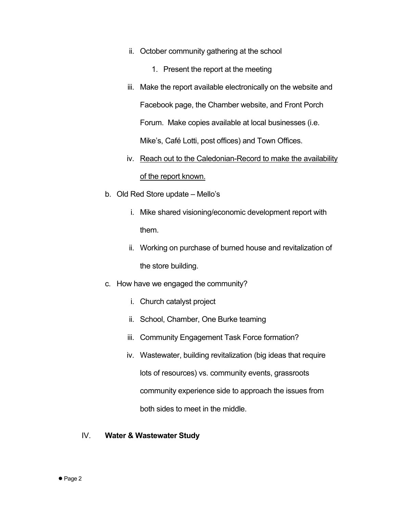- ii. October community gathering at the school
	- 1. Present the report at the meeting
- iii. Make the report available electronically on the website and Facebook page, the Chamber website, and Front Porch Forum. Make copies available at local businesses (i.e. Mike's, Café Lotti, post offices) and Town Offices.
- iv. Reach out to the Caledonian-Record to make the availability of the report known.
- b. Old Red Store update Mello's
	- i. Mike shared visioning/economic development report with them.
	- ii. Working on purchase of burned house and revitalization of the store building.
- c. How have we engaged the community?
	- i. Church catalyst project
	- ii. School, Chamber, One Burke teaming
	- iii. Community Engagement Task Force formation?
	- iv. Wastewater, building revitalization (big ideas that require lots of resources) vs. community events, grassroots community experience side to approach the issues from both sides to meet in the middle.
- IV. **Water & Wastewater Study**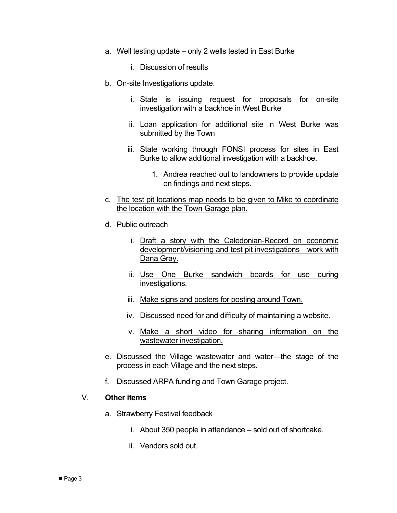- a. Well testing update only 2 wells tested in East Burke
	- i. Discussion of results
- b. On-site Investigations update.
	- i. State is issuing request for proposals for on-site investigation with a backhoe in West Burke
	- ii. Loan application for additional site in West Burke was submitted by the Town
	- iii. State working through FONSI process for sites in East Burke to allow additional investigation with a backhoe.
		- 1. Andrea reached out to landowners to provide update on findings and next steps.
- c. The test pit locations map needs to be given to Mike to coordinate the location with the Town Garage plan.
- d. Public outreach
	- i. Draft a story with the Caledonian-Record on economic development/visioning and test pit investigations—work with Dana Gray.
	- ii. Use One Burke sandwich boards for use during investigations.
	- iii. Make signs and posters for posting around Town.
	- iv. Discussed need for and difficulty of maintaining a website.
	- v. Make a short video for sharing information on the wastewater investigation.
- e. Discussed the Village wastewater and water—the stage of the process in each Village and the next steps.
- f. Discussed ARPA funding and Town Garage project.

## V. **Other items**

- a. Strawberry Festival feedback
	- i. About 350 people in attendance sold out of shortcake.
	- ii. Vendors sold out.